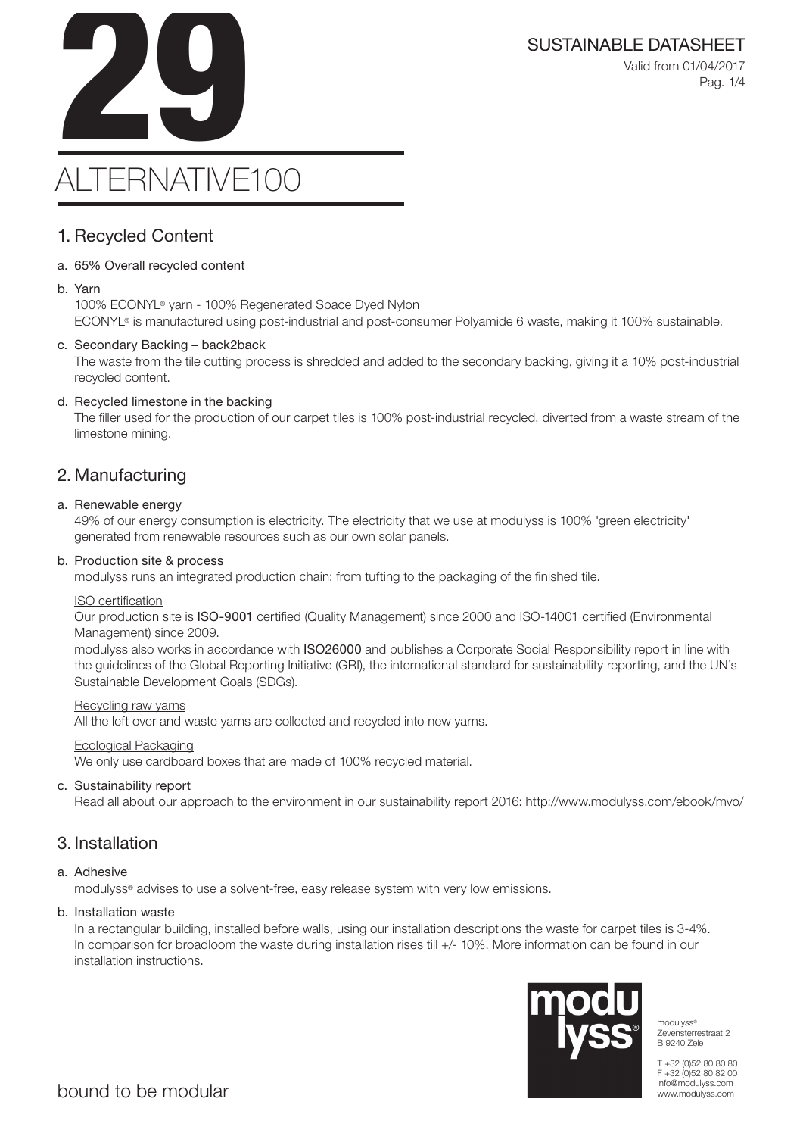SUSTAINABLE DATASHEET<br>Valid from 01/04/2017<br>Pag. 1/4 Valid from 01/04/2017 Pag. 1/4

# ALTERNATIVE100

### 1. Recycled Content

### a. 65% Overall recycled content

#### b. Yarn

100% ECONYL® yarn - 100% Regenerated Space Dyed Nylon ECONYL® is manufactured using post-industrial and post-consumer Polyamide 6 waste, making it 100% sustainable.

### c. Secondary Backing – back2back

The waste from the tile cutting process is shredded and added to the secondary backing, giving it a 10% post-industrial recycled content.

### d. Recycled limestone in the backing

The filler used for the production of our carpet tiles is 100% post-industrial recycled, diverted from a waste stream of the limestone mining.

### 2. Manufacturing

### a. Renewable energy

49% of our energy consumption is electricity. The electricity that we use at modulyss is 100% 'green electricity' generated from renewable resources such as our own solar panels.

#### b. Production site & process

modulyss runs an integrated production chain: from tufting to the packaging of the finished tile.

#### ISO certification

Our production site is ISO-9001 certified (Quality Management) since 2000 and ISO-14001 certified (Environmental Management) since 2009.

modulyss also works in accordance with ISO26000 and publishes a Corporate Social Responsibility report in line with the guidelines of the Global Reporting Initiative (GRI), the international standard for sustainability reporting, and the UN's Sustainable Development Goals (SDGs).

#### Recycling raw yarns

All the left over and waste yarns are collected and recycled into new yarns.

#### Ecological Packaging

We only use cardboard boxes that are made of 100% recycled material.

### c. Sustainability report

Read all about our approach to the environment in our sustainability report 2016: http://www.modulyss.com/ebook/mvo/

### 3. Installation

### a. Adhesive

modulyss® advises to use a solvent-free, easy release system with very low emissions.

#### b. Installation waste

In a rectangular building, installed before walls, using our installation descriptions the waste for carpet tiles is 3-4%. In comparison for broadloom the waste during installation rises till +/- 10%. More information can be found in our installation instructions.



modulyss® Zevensterrestraat 21 B 9240 Zele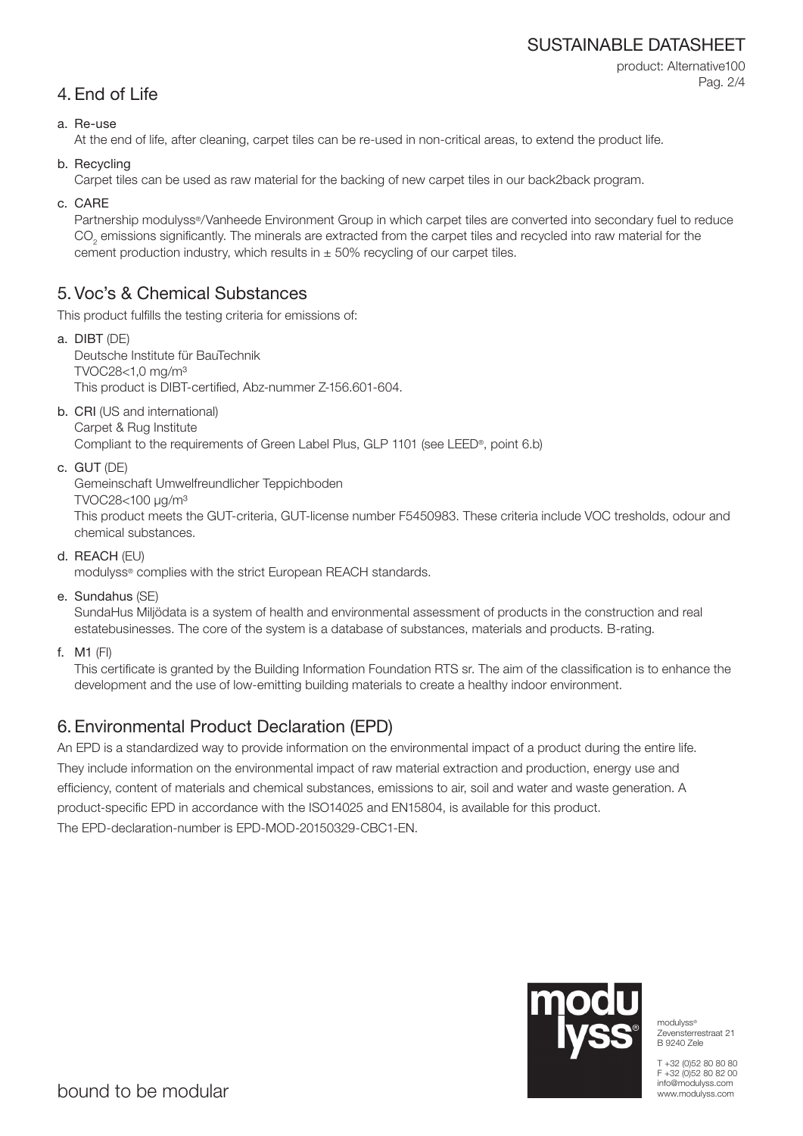### SUSTAINABLE DATASHEET

product: Alternative100 Pag. 2/4

### 4. End of Life

### a. Re-use

At the end of life, after cleaning, carpet tiles can be re-used in non-critical areas, to extend the product life.

b. Recycling

Carpet tiles can be used as raw material for the backing of new carpet tiles in our back2back program.

c. CARE

Partnership modulyss®/Vanheede Environment Group in which carpet tiles are converted into secondary fuel to reduce  $\mathrm{CO}_2$  emissions significantly. The minerals are extracted from the carpet tiles and recycled into raw material for the cement production industry, which results in  $\pm$  50% recycling of our carpet tiles.

### 5. Voc's & Chemical Substances

This product fulfills the testing criteria for emissions of:

- a. DIBT (DE) Deutsche Institute für BauTechnik TVOC28<1,0 mg/m³ This product is DIBT-certified, Abz-nummer Z-156.601-604.
- b. CRI (US and international) Carpet & Rug Institute

Compliant to the requirements of Green Label Plus, GLP 1101 (see LEED®, point 6.b)

c. GUT (DE)

Gemeinschaft Umwelfreundlicher Teppichboden

TVOC28<100 μg/m³

This product meets the GUT-criteria, GUT-license number F5450983. These criteria include VOC tresholds, odour and chemical substances.

d. REACH (EU)

modulyss® complies with the strict European REACH standards.

e. Sundahus (SE)

SundaHus Miljödata is a system of health and environmental assessment of products in the construction and real estatebusinesses. The core of the system is a database of substances, materials and products. B-rating.

f. M1 (FI)

This certificate is granted by the Building Information Foundation RTS sr. The aim of the classification is to enhance the development and the use of low-emitting building materials to create a healthy indoor environment.

## 6. Environmental Product Declaration (EPD)

An EPD is a standardized way to provide information on the environmental impact of a product during the entire life. They include information on the environmental impact of raw material extraction and production, energy use and efficiency, content of materials and chemical substances, emissions to air, soil and water and waste generation. A product-specific EPD in accordance with the ISO14025 and EN15804, is available for this product. The EPD-declaration-number is EPD-MOD-20150329-CBC1-EN.



modulyss® Zevensterrestraat 21 B 9240 Zele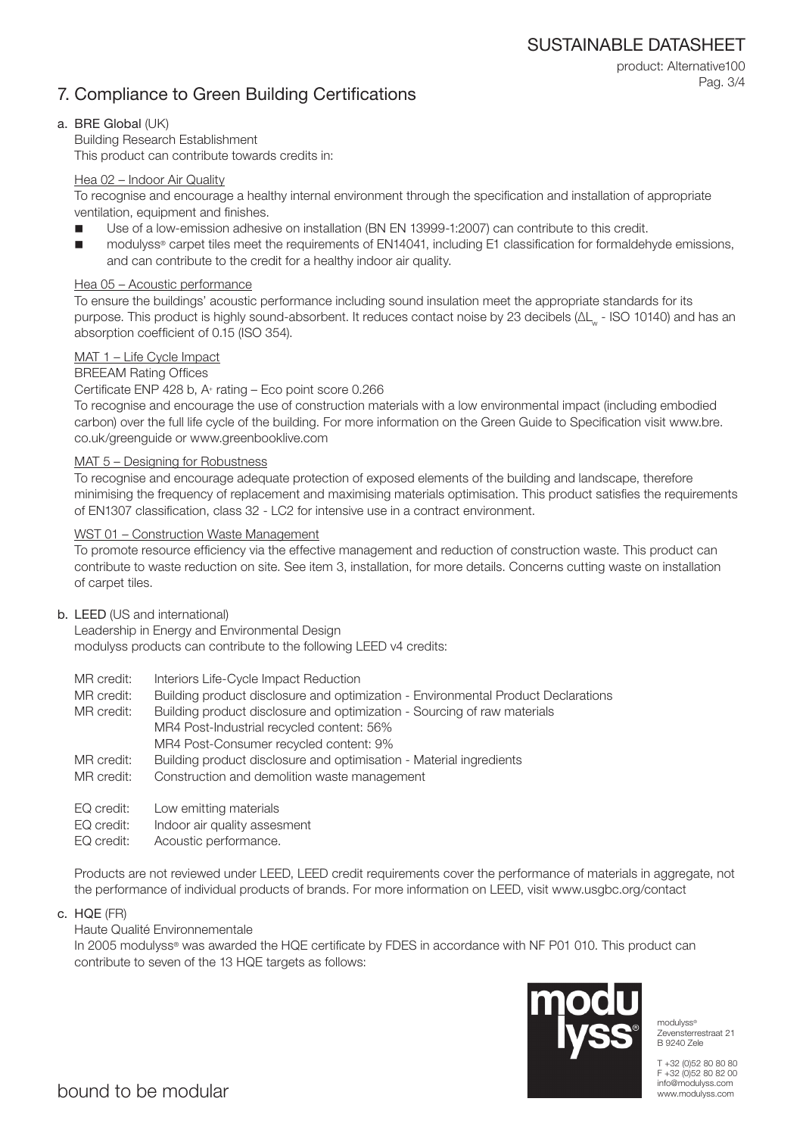SUSTAINABLE DATASHEET

## 7. Compliance to Green Building Certifications

product: Alternative100 Pag. 3/4

### a. BRE Global (UK)

Building Research Establishment This product can contribute towards credits in:

### Hea 02 – Indoor Air Quality

To recognise and encourage a healthy internal environment through the specification and installation of appropriate ventilation, equipment and finishes.

- Use of a low-emission adhesive on installation (BN EN 13999-1:2007) can contribute to this credit.
- modulyss® carpet tiles meet the requirements of EN14041, including E1 classification for formaldehyde emissions, and can contribute to the credit for a healthy indoor air quality.

### Hea 05 – Acoustic performance

To ensure the buildings' acoustic performance including sound insulation meet the appropriate standards for its purpose. This product is highly sound-absorbent. It reduces contact noise by 23 decibels (ΔL<sub>w</sub> - ISO 10140) and has an absorption coefficient of 0.15 (ISO 354).

### MAT 1 – Life Cycle Impact

### BREEAM Rating Offices

### Certificate ENP 428 b, A+ rating – Eco point score 0.266

To recognise and encourage the use of construction materials with a low environmental impact (including embodied carbon) over the full life cycle of the building. For more information on the Green Guide to Specification visit www.bre. co.uk/greenguide or www.greenbooklive.com

### MAT 5 – Designing for Robustness

To recognise and encourage adequate protection of exposed elements of the building and landscape, therefore minimising the frequency of replacement and maximising materials optimisation. This product satisfies the requirements of EN1307 classification, class 32 - LC2 for intensive use in a contract environment.

### WST 01 – Construction Waste Management

To promote resource efficiency via the effective management and reduction of construction waste. This product can contribute to waste reduction on site. See item 3, installation, for more details. Concerns cutting waste on installation of carpet tiles.

### b. LEED (US and international)

Leadership in Energy and Environmental Design modulyss products can contribute to the following LEED v4 credits:

- MR credit: Interiors Life-Cycle Impact Reduction
- MR credit: Building product disclosure and optimization Environmental Product Declarations

MR credit: Building product disclosure and optimization - Sourcing of raw materials MR4 Post-Industrial recycled content: 56% MR4 Post-Consumer recycled content: 9%

- MR credit: Building product disclosure and optimisation Material ingredients
- MR credit: Construction and demolition waste management
- EQ credit: Low emitting materials
- EQ credit: Indoor air quality assesment
- EQ credit: Acoustic performance.

Products are not reviewed under LEED, LEED credit requirements cover the performance of materials in aggregate, not the performance of individual products of brands. For more information on LEED, visit www.usgbc.org/contact

c. HQE (FR)

### Haute Qualité Environnementale

In 2005 modulyss® was awarded the HQE certificate by FDES in accordance with NF P01 010. This product can contribute to seven of the 13 HQE targets as follows:



modulyss® Zevensterrestraat 21 B 9240 Zele